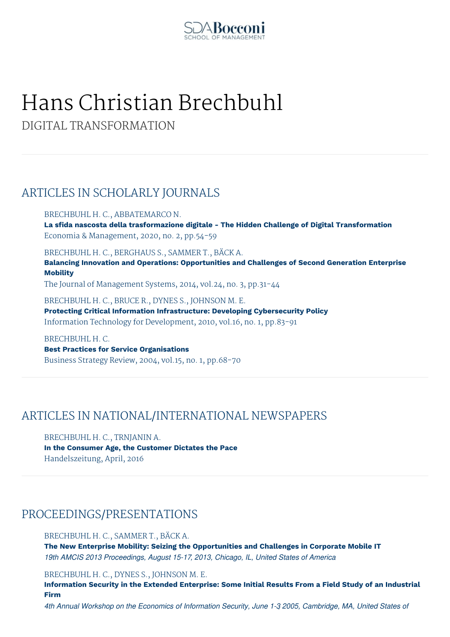

# Hans Christian Brechbuhl

DIGITAL TRANSFORMATION

## ARTICLES IN SCHOLARLY JOURNALS

BRECHBUHL H. C., ABBATEMARCO N. **La sfida nascosta della trasformazione digitale - The Hidden Challenge of Digital Transformation** Economia & Management, 2020, no. 2, pp.54-59

BRECHBUHL H. C., BERGHAUS S., SAMMER T., BÄCK A.

**Balancing Innovation and Operations: Opportunities and Challenges of Second Generation Enterprise Mobility**

The Journal of Management Systems, 2014, vol.24, no. 3, pp.31-44

BRECHBUHL H. C., BRUCE R., DYNES S., JOHNSON M. E. **Protecting Critical Information Infrastructure: Developing Cybersecurity Policy** Information Technology for Development, 2010, vol.16, no. 1, pp.83-91

BRECHBUHL H. C. **Best Practices for Service Organisations** Business Strategy Review, 2004, vol.15, no. 1, pp.68-70

## ARTICLES IN NATIONAL/INTERNATIONAL NEWSPAPERS

BRECHBUHL H. C., TRNJANIN A. **In the Consumer Age, the Customer Dictates the Pace** Handelszeitung, April, 2016

#### PROCEEDINGS/PRESENTATIONS

BRECHBUHL H. C., SAMMER T., BÄCK A.

**The New Enterprise Mobility: Seizing the Opportunities and Challenges in Corporate Mobile IT** *19th AMCIS 2013 Proceedings, August 15-17, 2013, Chicago, IL, United States of America*

BRECHBUHL H. C., DYNES S., JOHNSON M. E.

**Information Security in the Extended Enterprise: Some Initial Results From a Field Study of an Industrial Firm**

4th Annual Workshop on the Economics of Information Security, June 1-3 2005, Cambridge, MA, United States of